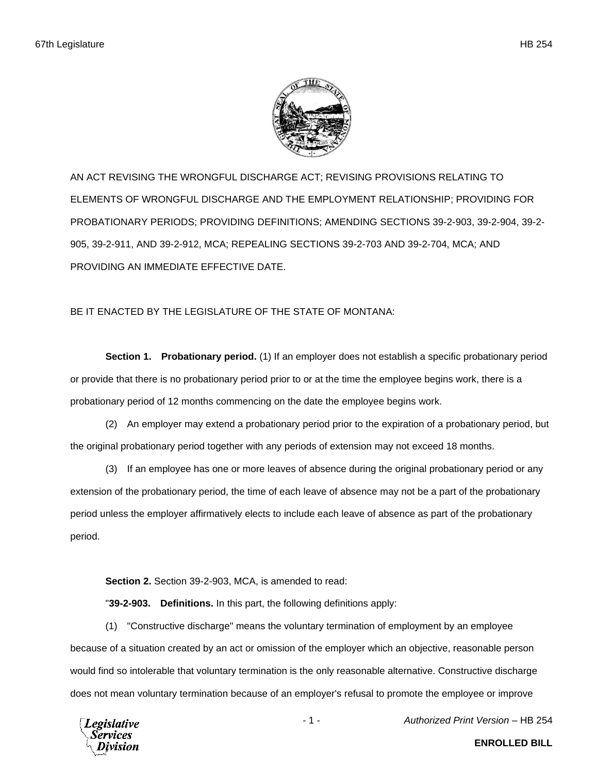

AN ACT REVISING THE WRONGFUL DISCHARGE ACT; REVISING PROVISIONS RELATING TO ELEMENTS OF WRONGFUL DISCHARGE AND THE EMPLOYMENT RELATIONSHIP; PROVIDING FOR PROBATIONARY PERIODS; PROVIDING DEFINITIONS; AMENDING SECTIONS 39-2-903, 39-2-904, 39-2- 905, 39-2-911, AND 39-2-912, MCA; REPEALING SECTIONS 39-2-703 AND 39-2-704, MCA; AND PROVIDING AN IMMEDIATE EFFECTIVE DATE.

## BE IT ENACTED BY THE LEGISLATURE OF THE STATE OF MONTANA:

**Section 1. Probationary period.** (1) If an employer does not establish a specific probationary period or provide that there is no probationary period prior to or at the time the employee begins work, there is a probationary period of 12 months commencing on the date the employee begins work.

(2) An employer may extend a probationary period prior to the expiration of a probationary period, but the original probationary period together with any periods of extension may not exceed 18 months.

(3) If an employee has one or more leaves of absence during the original probationary period or any extension of the probationary period, the time of each leave of absence may not be a part of the probationary period unless the employer affirmatively elects to include each leave of absence as part of the probationary period.

**Section 2.** Section 39-2-903, MCA, is amended to read:

"**39-2-903. Definitions.** In this part, the following definitions apply:

(1) "Constructive discharge" means the voluntary termination of employment by an employee because of a situation created by an act or omission of the employer which an objective, reasonable person would find so intolerable that voluntary termination is the only reasonable alternative. Constructive discharge does not mean voluntary termination because of an employer's refusal to promote the employee or improve



- 1 - *Authorized Print Version* – HB 254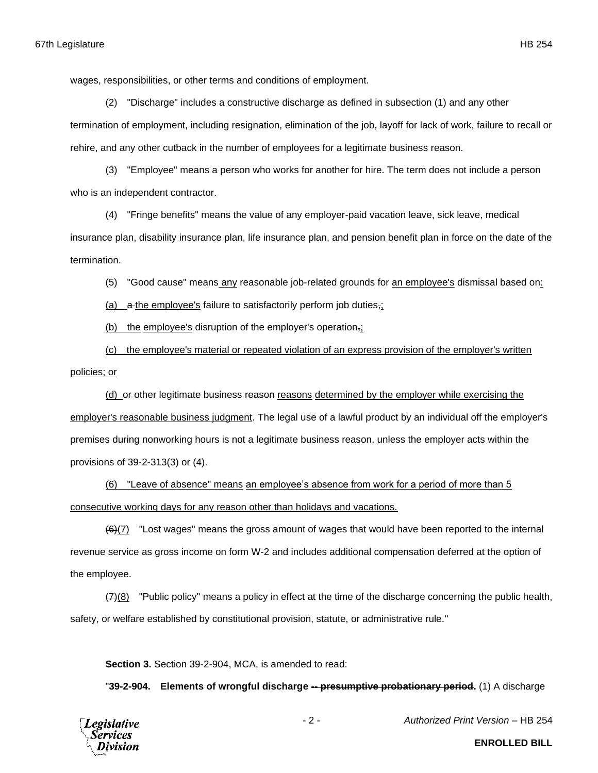wages, responsibilities, or other terms and conditions of employment.

(2) "Discharge" includes a constructive discharge as defined in subsection (1) and any other termination of employment, including resignation, elimination of the job, layoff for lack of work, failure to recall or rehire, and any other cutback in the number of employees for a legitimate business reason.

(3) "Employee" means a person who works for another for hire. The term does not include a person who is an independent contractor.

(4) "Fringe benefits" means the value of any employer-paid vacation leave, sick leave, medical insurance plan, disability insurance plan, life insurance plan, and pension benefit plan in force on the date of the termination.

(5) "Good cause" means any reasonable job-related grounds for an employee's dismissal based on:

(a)  $\alpha$  the employee's failure to satisfactorily perform job duties,

(b) the employee's disruption of the employer's operation<sub>7</sub>;

(c) the employee's material or repeated violation of an express provision of the employer's written

policies; or

(d) or other legitimate business reason reasons determined by the employer while exercising the employer's reasonable business judgment. The legal use of a lawful product by an individual off the employer's premises during nonworking hours is not a legitimate business reason, unless the employer acts within the provisions of 39-2-313(3) or (4).

(6) "Leave of absence" means an employee's absence from work for a period of more than 5 consecutive working days for any reason other than holidays and vacations.

 $(6)(7)$  "Lost wages" means the gross amount of wages that would have been reported to the internal revenue service as gross income on form W-2 and includes additional compensation deferred at the option of the employee.

 $(7)$ (8) "Public policy" means a policy in effect at the time of the discharge concerning the public health, safety, or welfare established by constitutional provision, statute, or administrative rule."

**Section 3.** Section 39-2-904, MCA, is amended to read:

"**39-2-904. Elements of wrongful discharge -- presumptive probationary period.** (1) A discharge



- 2 - *Authorized Print Version* – HB 254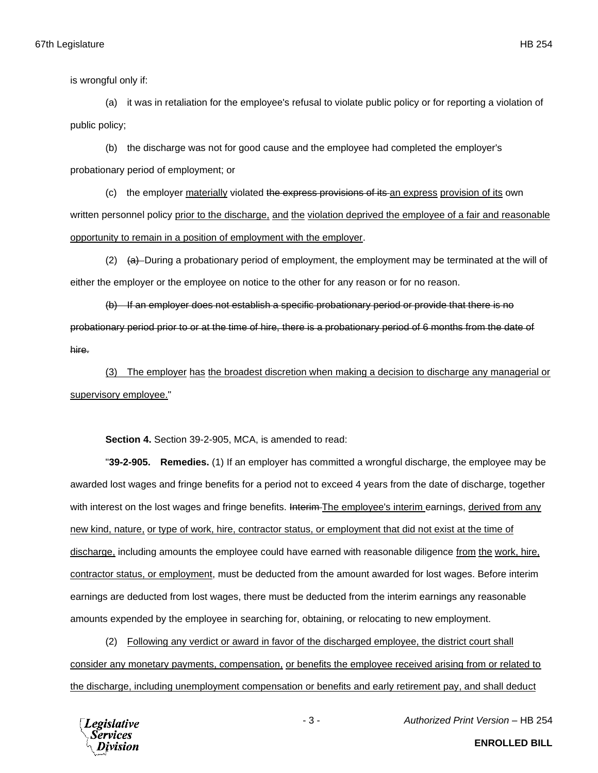is wrongful only if:

(a) it was in retaliation for the employee's refusal to violate public policy or for reporting a violation of public policy;

(b) the discharge was not for good cause and the employee had completed the employer's probationary period of employment; or

(c) the employer materially violated the express provisions of its an express provision of its own written personnel policy prior to the discharge, and the violation deprived the employee of a fair and reasonable opportunity to remain in a position of employment with the employer.

 $(2)$   $(a)$  During a probationary period of employment, the employment may be terminated at the will of either the employer or the employee on notice to the other for any reason or for no reason.

(b) If an employer does not establish a specific probationary period or provide that there is no probationary period prior to or at the time of hire, there is a probationary period of 6 months from the date of hire.

(3) The employer has the broadest discretion when making a decision to discharge any managerial or supervisory employee."

**Section 4.** Section 39-2-905, MCA, is amended to read:

"**39-2-905. Remedies.** (1) If an employer has committed a wrongful discharge, the employee may be awarded lost wages and fringe benefits for a period not to exceed 4 years from the date of discharge, together with interest on the lost wages and fringe benefits. Interim The employee's interim earnings, derived from any new kind, nature, or type of work, hire, contractor status, or employment that did not exist at the time of discharge, including amounts the employee could have earned with reasonable diligence from the work, hire, contractor status, or employment, must be deducted from the amount awarded for lost wages. Before interim earnings are deducted from lost wages, there must be deducted from the interim earnings any reasonable amounts expended by the employee in searching for, obtaining, or relocating to new employment.

(2) Following any verdict or award in favor of the discharged employee, the district court shall consider any monetary payments, compensation, or benefits the employee received arising from or related to the discharge, including unemployment compensation or benefits and early retirement pay, and shall deduct

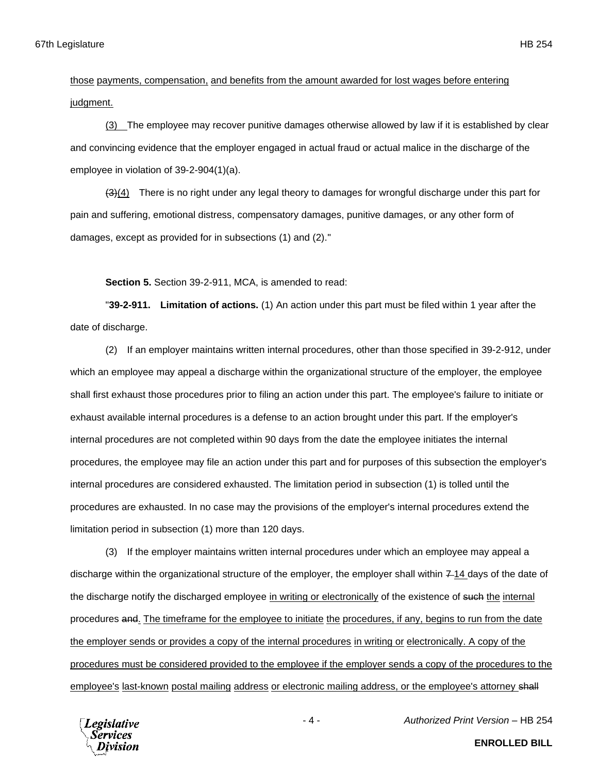(3) The employee may recover punitive damages otherwise allowed by law if it is established by clear and convincing evidence that the employer engaged in actual fraud or actual malice in the discharge of the employee in violation of 39-2-904(1)(a).

 $(3)(4)$  There is no right under any legal theory to damages for wrongful discharge under this part for pain and suffering, emotional distress, compensatory damages, punitive damages, or any other form of damages, except as provided for in subsections (1) and (2)."

**Section 5.** Section 39-2-911, MCA, is amended to read:

"**39-2-911. Limitation of actions.** (1) An action under this part must be filed within 1 year after the date of discharge.

(2) If an employer maintains written internal procedures, other than those specified in 39-2-912, under which an employee may appeal a discharge within the organizational structure of the employer, the employee shall first exhaust those procedures prior to filing an action under this part. The employee's failure to initiate or exhaust available internal procedures is a defense to an action brought under this part. If the employer's internal procedures are not completed within 90 days from the date the employee initiates the internal procedures, the employee may file an action under this part and for purposes of this subsection the employer's internal procedures are considered exhausted. The limitation period in subsection (1) is tolled until the procedures are exhausted. In no case may the provisions of the employer's internal procedures extend the limitation period in subsection (1) more than 120 days.

(3) If the employer maintains written internal procedures under which an employee may appeal a discharge within the organizational structure of the employer, the employer shall within  $714$  days of the date of the discharge notify the discharged employee in writing or electronically of the existence of such the internal procedures and. The timeframe for the employee to initiate the procedures, if any, begins to run from the date the employer sends or provides a copy of the internal procedures in writing or electronically. A copy of the procedures must be considered provided to the employee if the employer sends a copy of the procedures to the employee's last-known postal mailing address or electronic mailing address, or the employee's attorney shall



**ENROLLED BILL**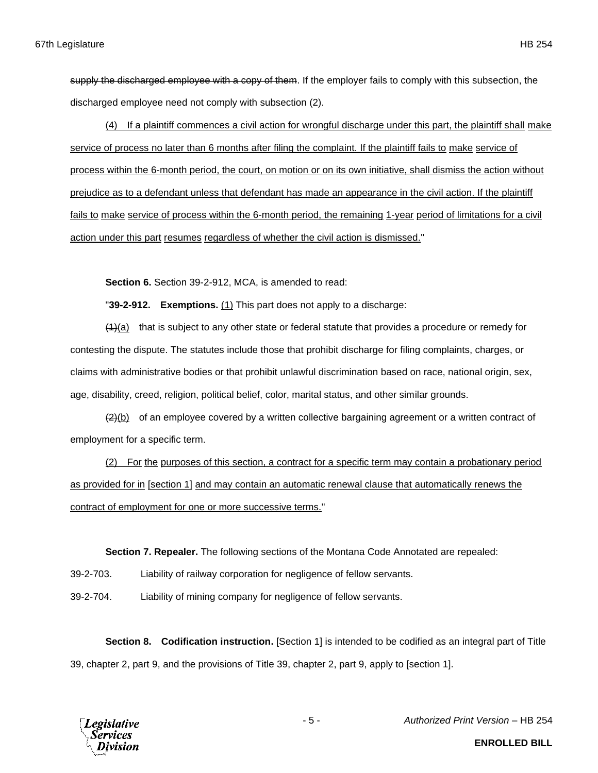supply the discharged employee with a copy of them. If the employer fails to comply with this subsection, the discharged employee need not comply with subsection (2).

(4) If a plaintiff commences a civil action for wrongful discharge under this part, the plaintiff shall make service of process no later than 6 months after filing the complaint. If the plaintiff fails to make service of process within the 6-month period, the court, on motion or on its own initiative, shall dismiss the action without prejudice as to a defendant unless that defendant has made an appearance in the civil action. If the plaintiff fails to make service of process within the 6-month period, the remaining 1-year period of limitations for a civil action under this part resumes regardless of whether the civil action is dismissed."

**Section 6.** Section 39-2-912, MCA, is amended to read:

"**39-2-912. Exemptions.** (1) This part does not apply to a discharge:

 $(4)$ (a) that is subject to any other state or federal statute that provides a procedure or remedy for contesting the dispute. The statutes include those that prohibit discharge for filing complaints, charges, or claims with administrative bodies or that prohibit unlawful discrimination based on race, national origin, sex, age, disability, creed, religion, political belief, color, marital status, and other similar grounds.

 $(2)(b)$  of an employee covered by a written collective bargaining agreement or a written contract of employment for a specific term.

(2) For the purposes of this section, a contract for a specific term may contain a probationary period as provided for in [section 1] and may contain an automatic renewal clause that automatically renews the contract of employment for one or more successive terms."

**Section 7. Repealer.** The following sections of the Montana Code Annotated are repealed:

39-2-703. Liability of railway corporation for negligence of fellow servants.

39-2-704. Liability of mining company for negligence of fellow servants.

**Section 8. Codification instruction.** [Section 1] is intended to be codified as an integral part of Title 39, chapter 2, part 9, and the provisions of Title 39, chapter 2, part 9, apply to [section 1].



- 5 - *Authorized Print Version* – HB 254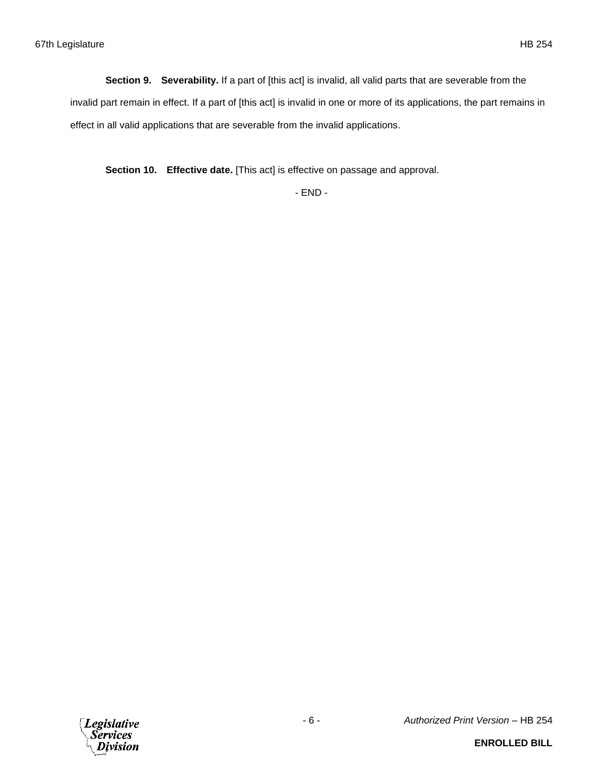**Section 9. Severability.** If a part of [this act] is invalid, all valid parts that are severable from the invalid part remain in effect. If a part of [this act] is invalid in one or more of its applications, the part remains in effect in all valid applications that are severable from the invalid applications.

**Section 10. Effective date.** [This act] is effective on passage and approval.

- END -

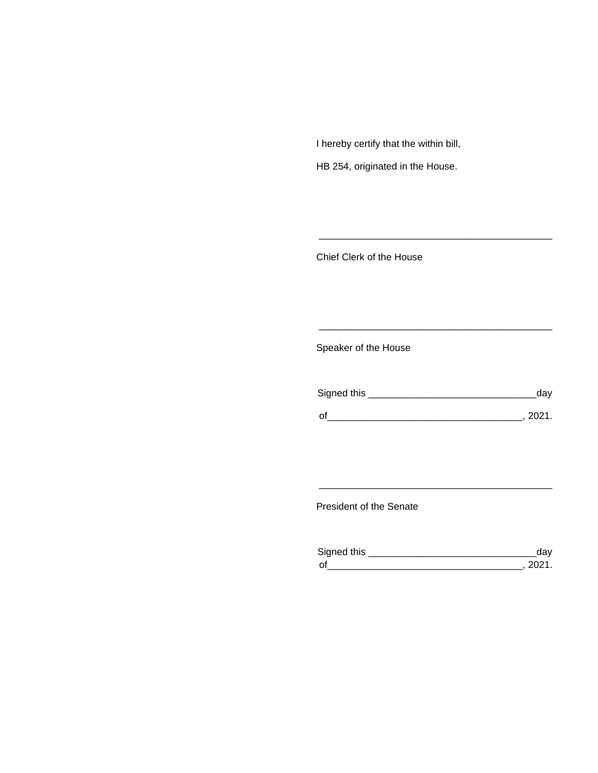I hereby certify that the within bill,

HB 254, originated in the House.

Chief Clerk of the House

Speaker of the House

| Signed this | dav    |
|-------------|--------|
| $\Omega$    | - 2021 |

\_\_\_\_\_\_\_\_\_\_\_\_\_\_\_\_\_\_\_\_\_\_\_\_\_\_\_\_\_\_\_\_\_\_\_\_\_\_\_\_\_\_\_

\_\_\_\_\_\_\_\_\_\_\_\_\_\_\_\_\_\_\_\_\_\_\_\_\_\_\_\_\_\_\_\_\_\_\_\_\_\_\_\_\_\_\_

President of the Senate

| Sianed this |  |
|-------------|--|
| $\Omega$    |  |

\_\_\_\_\_\_\_\_\_\_\_\_\_\_\_\_\_\_\_\_\_\_\_\_\_\_\_\_\_\_\_\_\_\_\_\_\_\_\_\_\_\_\_